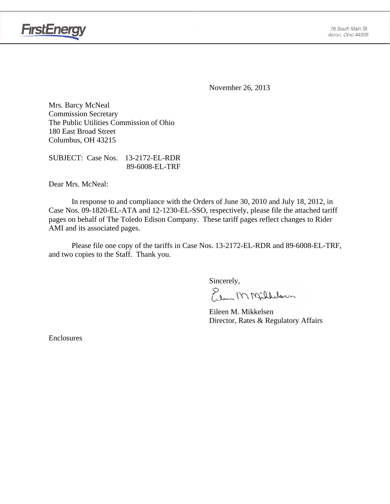

**FirstEnergy** 

November 26, 2013

Mrs. Barcy McNeal Commission Secretary The Public Utilities Commission of Ohio 180 East Broad Street Columbus, OH 43215

SUBJECT: Case Nos. 13-2172-EL-RDR 89-6008-EL-TRF

Dear Mrs. McNeal:

 In response to and compliance with the Orders of June 30, 2010 and July 18, 2012, in Case Nos. 09-1820-EL-ATA and 12-1230-EL-SSO, respectively, please file the attached tariff pages on behalf of The Toledo Edison Company. These tariff pages reflect changes to Rider AMI and its associated pages.

Please file one copy of the tariffs in Case Nos. 13-2172-EL-RDR and 89-6008-EL-TRF, and two copies to the Staff. Thank you.

Sincerely,

Elem M Milleloun

 Eileen M. Mikkelsen Director, Rates & Regulatory Affairs

Enclosures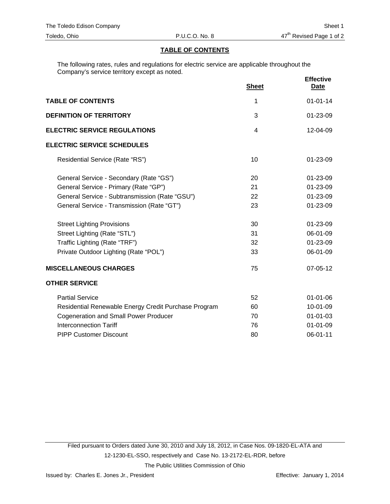### **TABLE OF CONTENTS**

The following rates, rules and regulations for electric service are applicable throughout the Company's service territory except as noted.

|                                                      | <b>Sheet</b> | <b>Effective</b><br><u>Date</u> |
|------------------------------------------------------|--------------|---------------------------------|
| <b>TABLE OF CONTENTS</b>                             | 1            | $01 - 01 - 14$                  |
| <b>DEFINITION OF TERRITORY</b>                       | 3            | 01-23-09                        |
| <b>ELECTRIC SERVICE REGULATIONS</b>                  | 4            | $12 - 04 - 09$                  |
| <b>ELECTRIC SERVICE SCHEDULES</b>                    |              |                                 |
| Residential Service (Rate "RS")                      | 10           | $01 - 23 - 09$                  |
| General Service - Secondary (Rate "GS")              | 20           | 01-23-09                        |
| General Service - Primary (Rate "GP")                | 21           | 01-23-09                        |
| General Service - Subtransmission (Rate "GSU")       | 22           | 01-23-09                        |
| General Service - Transmission (Rate "GT")           | 23           | 01-23-09                        |
| <b>Street Lighting Provisions</b>                    | 30           | 01-23-09                        |
| Street Lighting (Rate "STL")                         | 31           | 06-01-09                        |
| Traffic Lighting (Rate "TRF")                        | 32           | 01-23-09                        |
| Private Outdoor Lighting (Rate "POL")                | 33           | 06-01-09                        |
| <b>MISCELLANEOUS CHARGES</b>                         | 75           | 07-05-12                        |
| <b>OTHER SERVICE</b>                                 |              |                                 |
| <b>Partial Service</b>                               | 52           | $01 - 01 - 06$                  |
| Residential Renewable Energy Credit Purchase Program | 60           | 10-01-09                        |
| <b>Cogeneration and Small Power Producer</b>         | 70           | $01 - 01 - 03$                  |
| <b>Interconnection Tariff</b>                        | 76           | $01 - 01 - 09$                  |
| <b>PIPP Customer Discount</b>                        | 80           | 06-01-11                        |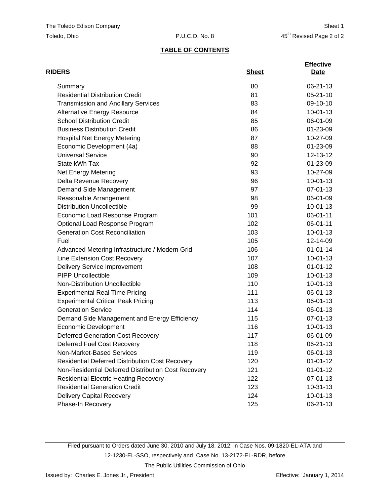## **TABLE OF CONTENTS**

| <b>RIDERS</b>                                          | <b>Sheet</b> | <b>Effective</b><br>Date |
|--------------------------------------------------------|--------------|--------------------------|
| Summary                                                | 80           | 06-21-13                 |
| <b>Residential Distribution Credit</b>                 | 81           | $05 - 21 - 10$           |
| <b>Transmission and Ancillary Services</b>             | 83           | 09-10-10                 |
| <b>Alternative Energy Resource</b>                     | 84           | $10 - 01 - 13$           |
| <b>School Distribution Credit</b>                      | 85           | 06-01-09                 |
| <b>Business Distribution Credit</b>                    | 86           | 01-23-09                 |
| <b>Hospital Net Energy Metering</b>                    | 87           | 10-27-09                 |
| Economic Development (4a)                              | 88           | 01-23-09                 |
| <b>Universal Service</b>                               | 90           | 12-13-12                 |
| State kWh Tax                                          | 92           | 01-23-09                 |
| <b>Net Energy Metering</b>                             | 93           | 10-27-09                 |
| Delta Revenue Recovery                                 | 96           | $10 - 01 - 13$           |
| Demand Side Management                                 | 97           | 07-01-13                 |
| Reasonable Arrangement                                 | 98           | 06-01-09                 |
| <b>Distribution Uncollectible</b>                      | 99           | $10 - 01 - 13$           |
| Economic Load Response Program                         | 101          | 06-01-11                 |
| Optional Load Response Program                         | 102          | 06-01-11                 |
| <b>Generation Cost Reconciliation</b>                  | 103          | $10 - 01 - 13$           |
| Fuel                                                   | 105          | 12-14-09                 |
| Advanced Metering Infrastructure / Modern Grid         | 106          | $01 - 01 - 14$           |
| Line Extension Cost Recovery                           | 107          | $10 - 01 - 13$           |
| <b>Delivery Service Improvement</b>                    | 108          | $01 - 01 - 12$           |
| <b>PIPP Uncollectible</b>                              | 109          | $10 - 01 - 13$           |
| Non-Distribution Uncollectible                         | 110          | $10 - 01 - 13$           |
| <b>Experimental Real Time Pricing</b>                  | 111          | 06-01-13                 |
| <b>Experimental Critical Peak Pricing</b>              | 113          | 06-01-13                 |
| <b>Generation Service</b>                              | 114          | 06-01-13                 |
| Demand Side Management and Energy Efficiency           | 115          | 07-01-13                 |
| <b>Economic Development</b>                            | 116          | $10 - 01 - 13$           |
| <b>Deferred Generation Cost Recovery</b>               | 117          | 06-01-09                 |
| Deferred Fuel Cost Recovery                            | 118          | 06-21-13                 |
| Non-Market-Based Services                              | 119          | 06-01-13                 |
| <b>Residential Deferred Distribution Cost Recovery</b> | 120          | $01 - 01 - 12$           |
| Non-Residential Deferred Distribution Cost Recovery    | 121          | $01 - 01 - 12$           |
| <b>Residential Electric Heating Recovery</b>           | 122          | 07-01-13                 |
| <b>Residential Generation Credit</b>                   | 123          | $10-31-13$               |
| Delivery Capital Recovery                              | 124          | $10 - 01 - 13$           |
| Phase-In Recovery                                      | 125          | 06-21-13                 |

Filed pursuant to Orders dated June 30, 2010 and July 18, 2012, in Case Nos. 09-1820-EL-ATA and 12-1230-EL-SSO, respectively and Case No. 13-2172-EL-RDR, before The Public Utilities Commission of Ohio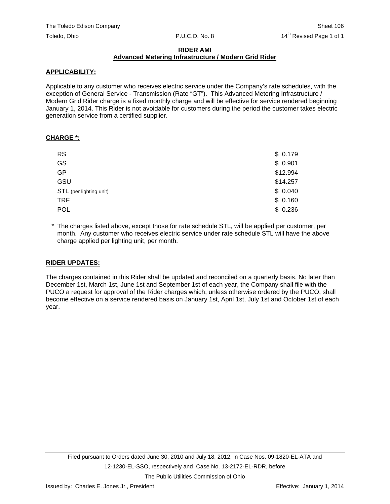#### **RIDER AMI Advanced Metering Infrastructure / Modern Grid Rider**

#### **APPLICABILITY:**

Applicable to any customer who receives electric service under the Company's rate schedules, with the exception of General Service - Transmission (Rate "GT"). This Advanced Metering Infrastructure / Modern Grid Rider charge is a fixed monthly charge and will be effective for service rendered beginning January 1, 2014. This Rider is not avoidable for customers during the period the customer takes electric generation service from a certified supplier.

#### **CHARGE \*:**

| <b>RS</b>               | \$0.179  |
|-------------------------|----------|
| GS                      | \$0.901  |
| <b>GP</b>               | \$12.994 |
| GSU                     | \$14.257 |
| STL (per lighting unit) | \$0.040  |
| <b>TRF</b>              | \$0.160  |
| POL                     | \$0.236  |

\* The charges listed above, except those for rate schedule STL, will be applied per customer, per month. Any customer who receives electric service under rate schedule STL will have the above charge applied per lighting unit, per month.

### **RIDER UPDATES:**

The charges contained in this Rider shall be updated and reconciled on a quarterly basis. No later than December 1st, March 1st, June 1st and September 1st of each year, the Company shall file with the PUCO a request for approval of the Rider charges which, unless otherwise ordered by the PUCO, shall become effective on a service rendered basis on January 1st, April 1st, July 1st and October 1st of each year.

The Public Utilities Commission of Ohio